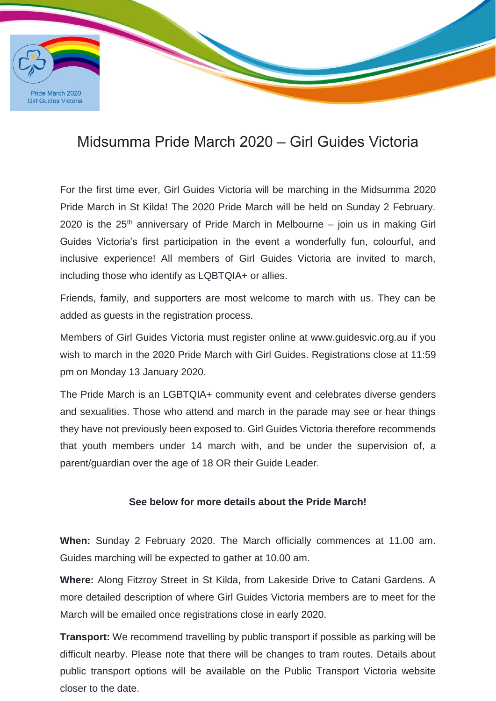

## Midsumma Pride March 2020 – Girl Guides Victoria

<u>Santa Barat da Barat da Barat da Barat da Barat da Barat da Barat da Barat da Barat da Barat da Barat da Barat da Barat da Barat da Barat da Barat da Barat da Barat da Barat da Barat da Barat da Barat da Barat da Barat da</u>

For the first time ever, Girl Guides Victoria will be marching in the Midsumma 2020 Pride March in St Kilda! The 2020 Pride March will be held on Sunday 2 February. 2020 is the  $25<sup>th</sup>$  anniversary of Pride March in Melbourne – join us in making Girl Guides Victoria's first participation in the event a wonderfully fun, colourful, and inclusive experience! All members of Girl Guides Victoria are invited to march, including those who identify as LQBTQIA+ or allies.

Friends, family, and supporters are most welcome to march with us. They can be added as guests in the registration process.

Members of Girl Guides Victoria must register online at www.guidesvic.org.au if you wish to march in the 2020 Pride March with Girl Guides. Registrations close at 11:59 pm on Monday 13 January 2020.

The Pride March is an LGBTQIA+ community event and celebrates diverse genders and sexualities. Those who attend and march in the parade may see or hear things they have not previously been exposed to. Girl Guides Victoria therefore recommends that youth members under 14 march with, and be under the supervision of, a parent/guardian over the age of 18 OR their Guide Leader.

## **See below for more details about the Pride March!**

**When:** Sunday 2 February 2020. The March officially commences at 11.00 am. Guides marching will be expected to gather at 10.00 am.

**Where:** Along Fitzroy Street in St Kilda, from Lakeside Drive to Catani Gardens. A more detailed description of where Girl Guides Victoria members are to meet for the March will be emailed once registrations close in early 2020.

**Transport:** We recommend travelling by public transport if possible as parking will be difficult nearby. Please note that there will be changes to tram routes. Details about public transport options will be available on the Public Transport Victoria website closer to the date.